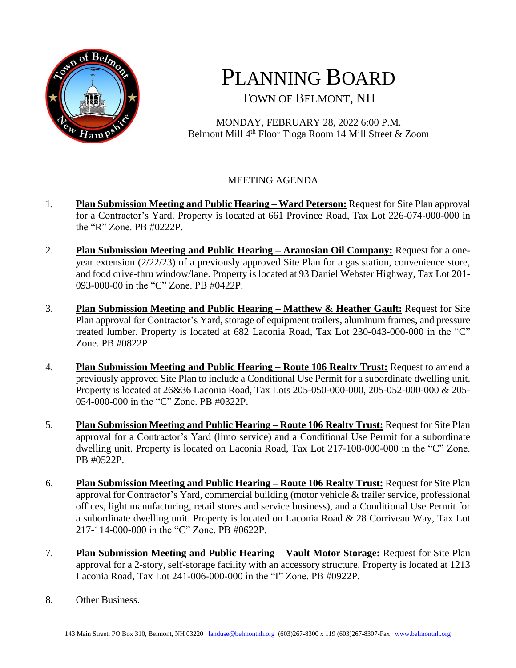

## PLANNING BOARD TOWN OF BELMONT, NH

MONDAY, FEBRUARY 28, 2022 6:00 P.M. Belmont Mill 4<sup>th</sup> Floor Tioga Room 14 Mill Street & Zoom

## MEETING AGENDA

- 1. **Plan Submission Meeting and Public Hearing – Ward Peterson:** Request for Site Plan approval for a Contractor's Yard. Property is located at 661 Province Road, Tax Lot 226-074-000-000 in the "R" Zone. PB #0222P.
- 2. **Plan Submission Meeting and Public Hearing – Aranosian Oil Company:** Request for a oneyear extension (2/22/23) of a previously approved Site Plan for a gas station, convenience store, and food drive-thru window/lane. Property is located at 93 Daniel Webster Highway, Tax Lot 201- 093-000-00 in the "C" Zone. PB #0422P.
- 3. **Plan Submission Meeting and Public Hearing – Matthew & Heather Gault:** Request for Site Plan approval for Contractor's Yard, storage of equipment trailers, aluminum frames, and pressure treated lumber. Property is located at 682 Laconia Road, Tax Lot 230-043-000-000 in the "C" Zone. PB #0822P
- 4. **Plan Submission Meeting and Public Hearing – Route 106 Realty Trust:** Request to amend a previously approved Site Plan to include a Conditional Use Permit for a subordinate dwelling unit. Property is located at 26&36 Laconia Road, Tax Lots 205-050-000-000, 205-052-000-000 & 205- 054-000-000 in the "C" Zone. PB #0322P.
- 5. **Plan Submission Meeting and Public Hearing – Route 106 Realty Trust:** Request for Site Plan approval for a Contractor's Yard (limo service) and a Conditional Use Permit for a subordinate dwelling unit. Property is located on Laconia Road, Tax Lot 217-108-000-000 in the "C" Zone. PB #0522P.
- 6. **Plan Submission Meeting and Public Hearing – Route 106 Realty Trust:** Request for Site Plan approval for Contractor's Yard, commercial building (motor vehicle & trailer service, professional offices, light manufacturing, retail stores and service business), and a Conditional Use Permit for a subordinate dwelling unit. Property is located on Laconia Road & 28 Corriveau Way, Tax Lot 217-114-000-000 in the "C" Zone. PB #0622P.
- 7. **Plan Submission Meeting and Public Hearing – Vault Motor Storage:** Request for Site Plan approval for a 2-story, self-storage facility with an accessory structure. Property is located at 1213 Laconia Road, Tax Lot 241-006-000-000 in the "I" Zone. PB #0922P.
- 8. Other Business.